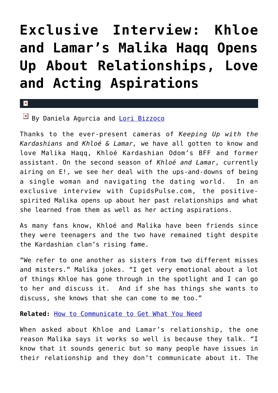## **[Exclusive Interview: Khloe](https://cupidspulse.com/28834/exclusive-interview-malika-haqq-relationships-khloe-and-lamar-rob-kardashian/) [and Lamar's Malika Haqq Opens](https://cupidspulse.com/28834/exclusive-interview-malika-haqq-relationships-khloe-and-lamar-rob-kardashian/) [Up About Relationships, Love](https://cupidspulse.com/28834/exclusive-interview-malika-haqq-relationships-khloe-and-lamar-rob-kardashian/) [and Acting Aspirations](https://cupidspulse.com/28834/exclusive-interview-malika-haqq-relationships-khloe-and-lamar-rob-kardashian/)**

## $\mathbf{x}$

By Daniela Agurcia and [Lori Bizzoco](http://cupidspulse.com/104596/lori-bizzoco/)

Thanks to the ever-present cameras of *Keeping Up with the Kardashians* and *Khloé & Lamar,* we have all gotten to know and love Malika Haqq, Khloé Kardashian Odom's BFF and former assistant. On the second season of *Khloé and Lamar*, currently airing on E!, we see her deal with the ups-and-downs of being a single woman and navigating the dating world. In an exclusive interview with CupidsPulse.com, the positivespirited Malika opens up about her past relationships and what she learned from them as well as her acting aspirations.

As many fans know, Khloé and Malika have been friends since they were teenagers and the two have remained tight despite the Kardashian clan's rising fame.

"We refer to one another as sisters from two different misses and misters." Malika jokes. "I get very emotional about a lot of things Khloe has gone through in the spotlight and I can go to her and discuss it. And if she has things she wants to discuss, she knows that she can come to me too."

**Related:** [How to Communicate to Get What You Need](http://cupidspulse.com/how-to-communicate-get-need-galtime-communication-boundaries/)

When asked about Khloe and Lamar's relationship, the one reason Malika says it works so well is because they talk. "I know that it sounds generic but so many people have issues in their relationship and they don't communicate about it. The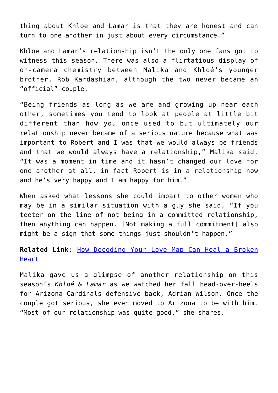thing about Khloe and Lamar is that they are honest and can turn to one another in just about every circumstance."

Khloe and Lamar's relationship isn't the only one fans got to witness this season*.* There was also a flirtatious display of on-camera chemistry between Malika and Khloé's younger brother, Rob Kardashian, although the two never became an "official" couple.

"Being friends as long as we are and growing up near each other, sometimes you tend to look at people at little bit different than how you once used to but ultimately our relationship never became of a serious nature because what was important to Robert and I was that we would always be friends and that we would always have a relationship," Malika said. "It was a moment in time and it hasn't changed our love for one another at all, in fact Robert is in a relationship now and he's very happy and I am happy for him."

When asked what lessons she could impart to other women who may be in a similar situation with a guy she said, "If you teeter on the line of not being in a committed relationship, then anything can happen. [Not making a full commitment] also might be a sign that some things just shouldn't happen."

**Related Link**: [How Decoding Your Love Map Can Heal a Broken](http://cupidspulse.com/decoding-love-map-heal-broken-heart-rachel-sussman/) [Heart](http://cupidspulse.com/decoding-love-map-heal-broken-heart-rachel-sussman/)

Malika gave us a glimpse of another relationship on this season's *Khloé & Lamar* as we watched her fall head-over-heels for Arizona Cardinals defensive back, Adrian Wilson. Once the couple got serious, she even moved to Arizona to be with him. "Most of our relationship was quite good," she shares.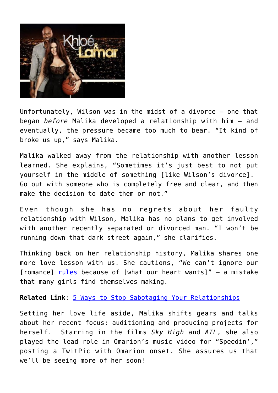

Unfortunately, Wilson was in the midst of a divorce — one that began *before* Malika developed a relationship with him — and eventually, the pressure became too much to bear. "It kind of broke us up," says Malika.

Malika walked away from the relationship with another lesson learned. She explains, "Sometimes it's just best to not put yourself in the middle of something [like Wilson's divorce]. Go out with someone who is completely free and clear, and then make the decision to date them or not."

Even though she has no regrets about her faulty relationship with Wilson, Malika has no plans to get involved with another recently separated or divorced man. "I won't be running down that dark street again," she clarifies.

Thinking back on her relationship history, Malika shares one more love lesson with us. She cautions, "We can't ignore our [romance] <u>rules</u> because of [what our heart wants]" - a mistake that many girls find themselves making.

**Related Link**: [5 Ways to Stop Sabotaging Your Relationships](http://cupidspulse.com/5-tips-advic-bad-habits-sabotage-relationships-dating-advice/)

Setting her love life aside, Malika shifts gears and talks about her recent focus: auditioning and producing projects for herself. Starring in the films *Sky High* and *ATL*, she also played the lead role in Omarion's music video for "Speedin'," posting a TwitPic with Omarion onset. She assures us that we'll be seeing more of her soon!